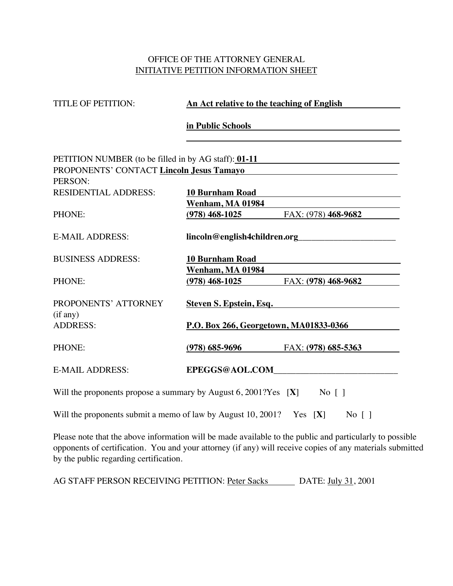## OFFICE OF THE ATTORNEY GENERAL INITIATIVE PETITION INFORMATION SHEET

| <b>TITLE OF PETITION:</b>                                                                        | <u>An Act relative to the teaching of English</u>                 |
|--------------------------------------------------------------------------------------------------|-------------------------------------------------------------------|
|                                                                                                  | in Public Schools <b>Executive Schools</b>                        |
| PETITION NUMBER (to be filled in by AG staff): 01-11<br>PROPONENTS' CONTACT Lincoln Jesus Tamayo |                                                                   |
| PERSON:                                                                                          | <u> 1989 - Jan James James Barnett, fransk politik (d. 1989)</u>  |
| <b>RESIDENTIAL ADDRESS:</b>                                                                      | 10 Burnham Road                                                   |
|                                                                                                  | <b>Wenham, MA 01984</b>                                           |
| PHONE:                                                                                           | $(978)$ 468-1025<br>FAX: (978) 468-9682                           |
| <b>E-MAIL ADDRESS:</b>                                                                           |                                                                   |
| <b>BUSINESS ADDRESS:</b>                                                                         | <b>10 Burnham Road</b>                                            |
|                                                                                                  | <b>Wenham, MA 01984</b>                                           |
| PHONE:                                                                                           | $(978)$ 468-1025 FAX: $(978)$ 468-9682                            |
| PROPONENTS' ATTORNEY<br>(if any)<br><b>ADDRESS:</b>                                              | Steven S. Epstein, Esq.<br>P.O. Box 266, Georgetown, MA01833-0366 |
|                                                                                                  |                                                                   |
| PHONE:                                                                                           | $(978)$ 685-9696 FAX: $(978)$ 685-5363                            |
| <b>E-MAIL ADDRESS:</b>                                                                           |                                                                   |
| Will the proponents propose a summary by August 6, 2001?Yes $[X]$ No []                          |                                                                   |

Will the proponents submit a memo of law by August  $10, 2001$ ? Yes  $[X]$  No  $[ ]$ 

Please note that the above information will be made available to the public and particularly to possible opponents of certification. You and your attorney (if any) will receive copies of any materials submitted by the public regarding certification.

AG STAFF PERSON RECEIVING PETITION: Peter Sacks DATE: July 31, 2001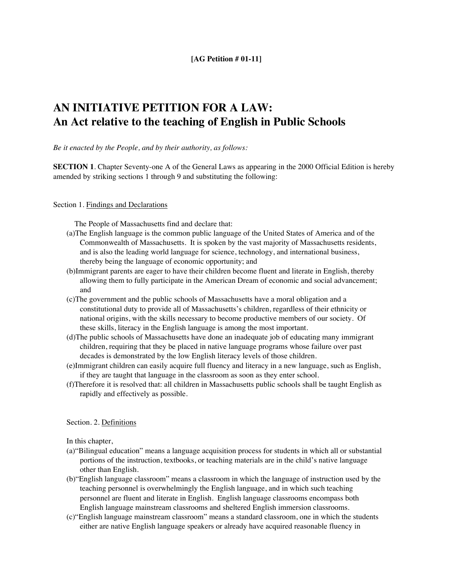#### **[AG Petition # 01-11]**

# **AN INITIATIVE PETITION FOR A LAW: An Act relative to the teaching of English in Public Schools**

*Be it enacted by the People, and by their authority, as follows:*

**SECTION 1**. Chapter Seventy-one A of the General Laws as appearing in the 2000 Official Edition is hereby amended by striking sections 1 through 9 and substituting the following:

Section 1. Findings and Declarations

The People of Massachusetts find and declare that:

- (a)The English language is the common public language of the United States of America and of the Commonwealth of Massachusetts. It is spoken by the vast majority of Massachusetts residents, and is also the leading world language for science, technology, and international business, thereby being the language of economic opportunity; and
- (b)Immigrant parents are eager to have their children become fluent and literate in English, thereby allowing them to fully participate in the American Dream of economic and social advancement; and
- (c)The government and the public schools of Massachusetts have a moral obligation and a constitutional duty to provide all of Massachusetts's children, regardless of their ethnicity or national origins, with the skills necessary to become productive members of our society. Of these skills, literacy in the English language is among the most important.
- (d)The public schools of Massachusetts have done an inadequate job of educating many immigrant children, requiring that they be placed in native language programs whose failure over past decades is demonstrated by the low English literacy levels of those children.
- (e)Immigrant children can easily acquire full fluency and literacy in a new language, such as English, if they are taught that language in the classroom as soon as they enter school.
- (f)Therefore it is resolved that: all children in Massachusetts public schools shall be taught English as rapidly and effectively as possible.

#### Section. 2. Definitions

In this chapter,

- (a)"Bilingual education" means a language acquisition process for students in which all or substantial portions of the instruction, textbooks, or teaching materials are in the child's native language other than English.
- (b)"English language classroom" means a classroom in which the language of instruction used by the teaching personnel is overwhelmingly the English language, and in which such teaching personnel are fluent and literate in English. English language classrooms encompass both English language mainstream classrooms and sheltered English immersion classrooms.
- (c)"English language mainstream classroom" means a standard classroom, one in which the students either are native English language speakers or already have acquired reasonable fluency in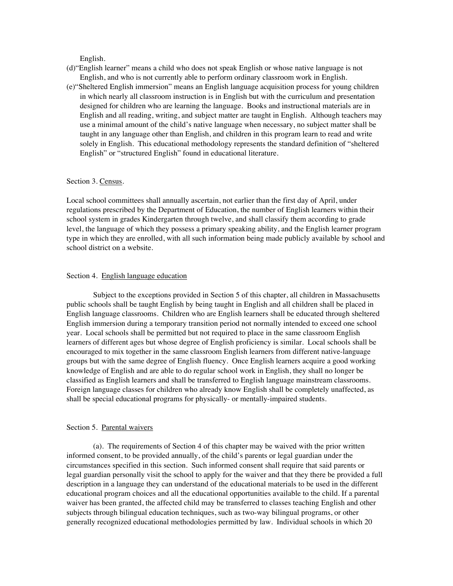English.

- (d)"English learner" means a child who does not speak English or whose native language is not English, and who is not currently able to perform ordinary classroom work in English.
- (e)"Sheltered English immersion" means an English language acquisition process for young children in which nearly all classroom instruction is in English but with the curriculum and presentation designed for children who are learning the language. Books and instructional materials are in English and all reading, writing, and subject matter are taught in English. Although teachers may use a minimal amount of the child's native language when necessary, no subject matter shall be taught in any language other than English, and children in this program learn to read and write solely in English. This educational methodology represents the standard definition of "sheltered English" or "structured English" found in educational literature.

#### Section 3. Census.

Local school committees shall annually ascertain, not earlier than the first day of April, under regulations prescribed by the Department of Education, the number of English learners within their school system in grades Kindergarten through twelve, and shall classify them according to grade level, the language of which they possess a primary speaking ability, and the English learner program type in which they are enrolled, with all such information being made publicly available by school and school district on a website.

#### Section 4. English language education

Subject to the exceptions provided in Section 5 of this chapter, all children in Massachusetts public schools shall be taught English by being taught in English and all children shall be placed in English language classrooms. Children who are English learners shall be educated through sheltered English immersion during a temporary transition period not normally intended to exceed one school year. Local schools shall be permitted but not required to place in the same classroom English learners of different ages but whose degree of English proficiency is similar. Local schools shall be encouraged to mix together in the same classroom English learners from different native-language groups but with the same degree of English fluency. Once English learners acquire a good working knowledge of English and are able to do regular school work in English, they shall no longer be classified as English learners and shall be transferred to English language mainstream classrooms. Foreign language classes for children who already know English shall be completely unaffected, as shall be special educational programs for physically- or mentally-impaired students.

#### Section 5. Parental waivers

(a). The requirements of Section 4 of this chapter may be waived with the prior written informed consent, to be provided annually, of the child's parents or legal guardian under the circumstances specified in this section. Such informed consent shall require that said parents or legal guardian personally visit the school to apply for the waiver and that they there be provided a full description in a language they can understand of the educational materials to be used in the different educational program choices and all the educational opportunities available to the child. If a parental waiver has been granted, the affected child may be transferred to classes teaching English and other subjects through bilingual education techniques, such as two-way bilingual programs, or other generally recognized educational methodologies permitted by law. Individual schools in which 20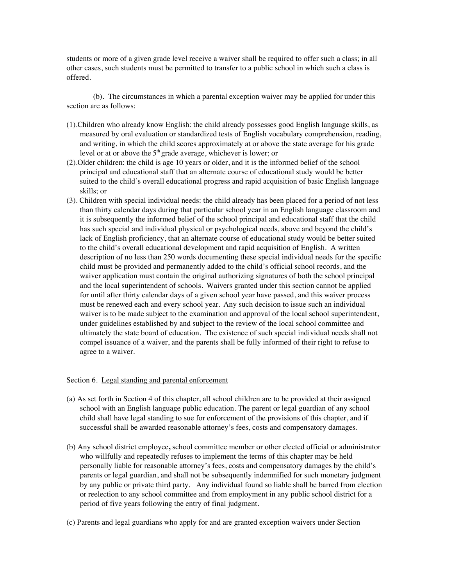students or more of a given grade level receive a waiver shall be required to offer such a class; in all other cases, such students must be permitted to transfer to a public school in which such a class is offered.

(b). The circumstances in which a parental exception waiver may be applied for under this section are as follows:

- (1).Children who already know English: the child already possesses good English language skills, as measured by oral evaluation or standardized tests of English vocabulary comprehension, reading, and writing, in which the child scores approximately at or above the state average for his grade level or at or above the  $5<sup>th</sup>$  grade average, whichever is lower; or
- (2).Older children: the child is age 10 years or older, and it is the informed belief of the school principal and educational staff that an alternate course of educational study would be better suited to the child's overall educational progress and rapid acquisition of basic English language skills; or
- (3). Children with special individual needs: the child already has been placed for a period of not less than thirty calendar days during that particular school year in an English language classroom and it is subsequently the informed belief of the school principal and educational staff that the child has such special and individual physical or psychological needs, above and beyond the child's lack of English proficiency, that an alternate course of educational study would be better suited to the child's overall educational development and rapid acquisition of English. A written description of no less than 250 words documenting these special individual needs for the specific child must be provided and permanently added to the child's official school records, and the waiver application must contain the original authorizing signatures of both the school principal and the local superintendent of schools. Waivers granted under this section cannot be applied for until after thirty calendar days of a given school year have passed, and this waiver process must be renewed each and every school year. Any such decision to issue such an individual waiver is to be made subject to the examination and approval of the local school superintendent, under guidelines established by and subject to the review of the local school committee and ultimately the state board of education. The existence of such special individual needs shall not compel issuance of a waiver, and the parents shall be fully informed of their right to refuse to agree to a waiver.

#### Section 6. Legal standing and parental enforcement

- (a) As set forth in Section 4 of this chapter, all school children are to be provided at their assigned school with an English language public education. The parent or legal guardian of any school child shall have legal standing to sue for enforcement of the provisions of this chapter, and if successful shall be awarded reasonable attorney's fees, costs and compensatory damages.
- (b) Any school district employee**,** school committee member or other elected official or administrator who willfully and repeatedly refuses to implement the terms of this chapter may be held personally liable for reasonable attorney's fees, costs and compensatory damages by the child's parents or legal guardian, and shall not be subsequently indemnified for such monetary judgment by any public or private third party. Any individual found so liable shall be barred from election or reelection to any school committee and from employment in any public school district for a period of five years following the entry of final judgment.
- (c) Parents and legal guardians who apply for and are granted exception waivers under Section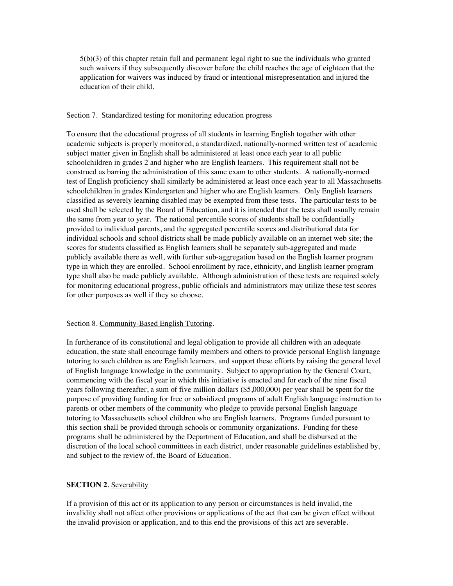5(b)(3) of this chapter retain full and permanent legal right to sue the individuals who granted such waivers if they subsequently discover before the child reaches the age of eighteen that the application for waivers was induced by fraud or intentional misrepresentation and injured the education of their child.

#### Section 7. Standardized testing for monitoring education progress

To ensure that the educational progress of all students in learning English together with other academic subjects is properly monitored, a standardized, nationally-normed written test of academic subject matter given in English shall be administered at least once each year to all public schoolchildren in grades 2 and higher who are English learners. This requirement shall not be construed as barring the administration of this same exam to other students. A nationally-normed test of English proficiency shall similarly be administered at least once each year to all Massachusetts schoolchildren in grades Kindergarten and higher who are English learners. Only English learners classified as severely learning disabled may be exempted from these tests. The particular tests to be used shall be selected by the Board of Education, and it is intended that the tests shall usually remain the same from year to year. The national percentile scores of students shall be confidentially provided to individual parents, and the aggregated percentile scores and distributional data for individual schools and school districts shall be made publicly available on an internet web site; the scores for students classified as English learners shall be separately sub-aggregated and made publicly available there as well, with further sub-aggregation based on the English learner program type in which they are enrolled. School enrollment by race, ethnicity, and English learner program type shall also be made publicly available. Although administration of these tests are required solely for monitoring educational progress, public officials and administrators may utilize these test scores for other purposes as well if they so choose.

#### Section 8. Community-Based English Tutoring.

In furtherance of its constitutional and legal obligation to provide all children with an adequate education, the state shall encourage family members and others to provide personal English language tutoring to such children as are English learners, and support these efforts by raising the general level of English language knowledge in the community. Subject to appropriation by the General Court, commencing with the fiscal year in which this initiative is enacted and for each of the nine fiscal years following thereafter, a sum of five million dollars (\$5,000,000) per year shall be spent for the purpose of providing funding for free or subsidized programs of adult English language instruction to parents or other members of the community who pledge to provide personal English language tutoring to Massachusetts school children who are English learners. Programs funded pursuant to this section shall be provided through schools or community organizations. Funding for these programs shall be administered by the Department of Education, and shall be disbursed at the discretion of the local school committees in each district, under reasonable guidelines established by, and subject to the review of, the Board of Education.

#### **SECTION 2. Severability**

If a provision of this act or its application to any person or circumstances is held invalid, the invalidity shall not affect other provisions or applications of the act that can be given effect without the invalid provision or application, and to this end the provisions of this act are severable.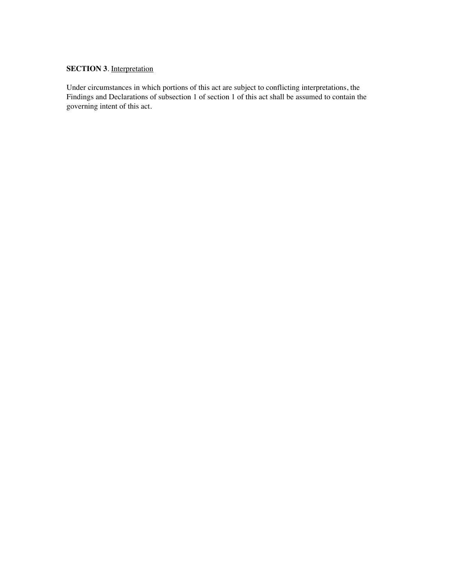### **SECTION 3.** Interpretation

Under circumstances in which portions of this act are subject to conflicting interpretations, the Findings and Declarations of subsection 1 of section 1 of this act shall be assumed to contain the governing intent of this act.